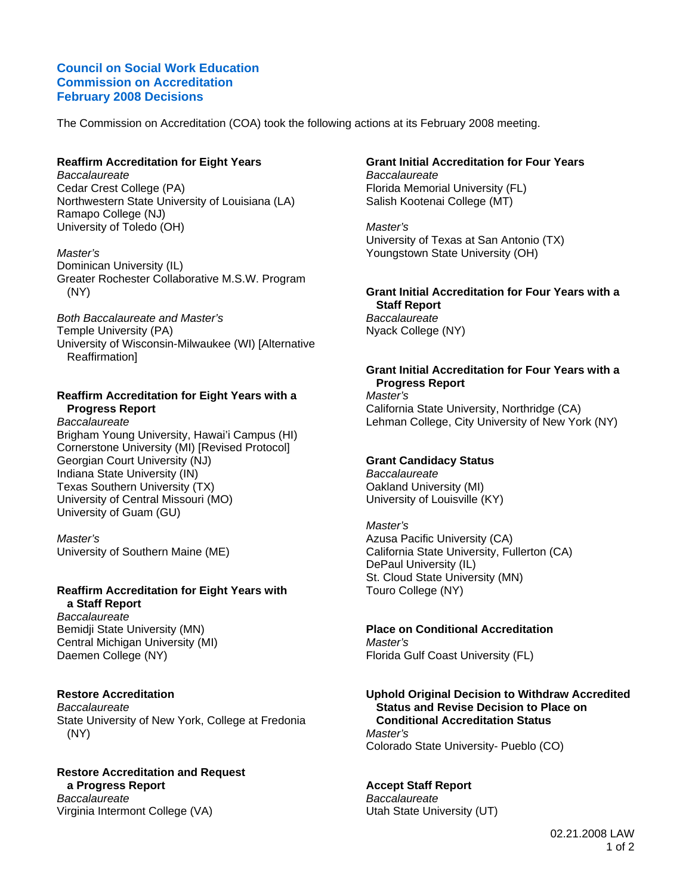## **Council on Social Work Education Commission on Accreditation February 2008 Decisions**

The Commission on Accreditation (COA) took the following actions at its February 2008 meeting.

## **Reaffirm Accreditation for Eight Years**

*Baccalaureate*  Cedar Crest College (PA) Northwestern State University of Louisiana (LA) Ramapo College (NJ) University of Toledo (OH)

*Master's*  Dominican University (IL) Greater Rochester Collaborative M.S.W. Program (NY)

*Both Baccalaureate and Master's*  Temple University (PA) University of Wisconsin-Milwaukee (WI) [Alternative Reaffirmation]

## **Reaffirm Accreditation for Eight Years with a Progress Report**

*Baccalaureate*  Brigham Young University, Hawai'i Campus (HI) Cornerstone University (MI) [Revised Protocol] Georgian Court University (NJ) Indiana State University (IN) Texas Southern University (TX) University of Central Missouri (MO) University of Guam (GU)

*Master's*  University of Southern Maine (ME)

### **Reaffirm Accreditation for Eight Years with a Staff Report**

*Baccalaureate*  Bemidji State University (MN) Central Michigan University (MI) Daemen College (NY)

### **Restore Accreditation**

*Baccalaureate*  State University of New York, College at Fredonia (NY)

**Restore Accreditation and Request a Progress Report**  *Baccalaureate*  Virginia Intermont College (VA)

# **Grant Initial Accreditation for Four Years**

*Baccalaureate*  Florida Memorial University (FL) Salish Kootenai College (MT)

*Master's*  University of Texas at San Antonio (TX) Youngstown State University (OH)

#### **Grant Initial Accreditation for Four Years with a Staff Report**  *Baccalaureate*  Nyack College (NY)

#### **Grant Initial Accreditation for Four Years with a Progress Report**

*Master's*  California State University, Northridge (CA) Lehman College, City University of New York (NY)

## **Grant Candidacy Status**

*Baccalaureate*  Oakland University (MI) University of Louisville (KY)

*Master's*  Azusa Pacific University (CA) California State University, Fullerton (CA) DePaul University (IL) St. Cloud State University (MN) Touro College (NY)

### **Place on Conditional Accreditation**

*Master's*  Florida Gulf Coast University (FL)

### **Uphold Original Decision to Withdraw Accredited Status and Revise Decision to Place on Conditional Accreditation Status**

*Master's*  Colorado State University- Pueblo (CO)

## **Accept Staff Report**

*Baccalaureate*  Utah State University (UT)

> 02.21.2008 LAW 1 of 2